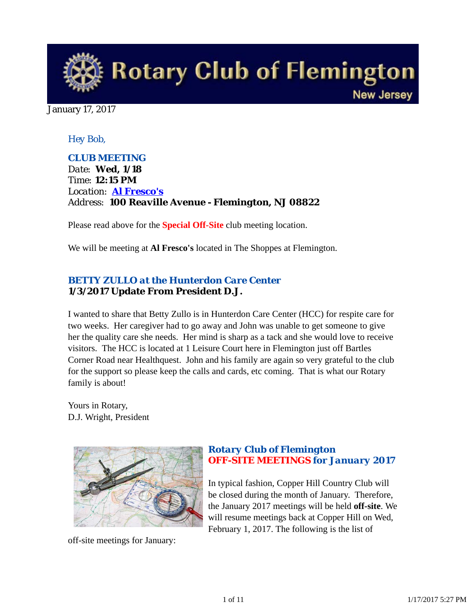

January 17, 2017

## *Hey Bob,*

*CLUB MEETING Date: Wed, 1/18 Time: 12:15 PM Location: Al Fresco's Address: 100 Reaville Avenue - Flemington, NJ 08822*

Please read above for the **Special Off-Site** club meeting location.

We will be meeting at **Al Fresco's** located in The Shoppes at Flemington.

# *BETTY ZULLO at the Hunterdon Care Center* **1/3/2017 Update From President D.J.**

I wanted to share that Betty Zullo is in Hunterdon Care Center (HCC) for respite care for two weeks. Her caregiver had to go away and John was unable to get someone to give her the quality care she needs. Her mind is sharp as a tack and she would love to receive visitors. The HCC is located at 1 Leisure Court here in Flemington just off Bartles Corner Road near Healthquest. John and his family are again so very grateful to the club for the support so please keep the calls and cards, etc coming. That is what our Rotary family is about!

Yours in Rotary, D.J. Wright, President



off-site meetings for January:

# *Rotary Club of Flemington OFF-SITE MEETINGS for January 2017*

In typical fashion, Copper Hill Country Club will be closed during the month of January. Therefore, the January 2017 meetings will be held **off-site**. We will resume meetings back at Copper Hill on Wed, February 1, 2017. The following is the list of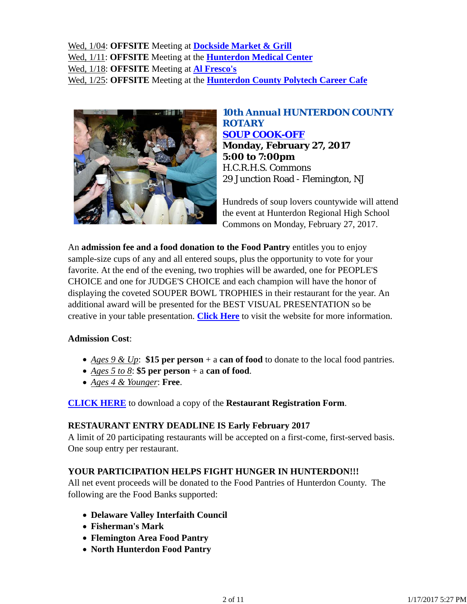Wed, 1/04: **OFFSITE** Meeting at **Dockside Market & Grill** Wed, 1/11: **OFFSITE** Meeting at the **Hunterdon Medical Center** Wed, 1/18: **OFFSITE** Meeting at **Al Fresco's** Wed, 1/25: **OFFSITE** Meeting at the **Hunterdon County Polytech Career Cafe**



## *10th Annual HUNTERDON COUNTY ROTARY SOUP COOK-OFF* **Monday, February 27, 2017 5:00 to 7:00pm** H.C.R.H.S. Commons 29 Junction Road - Flemington, NJ

Hundreds of soup lovers countywide will attend the event at Hunterdon Regional High School Commons on Monday, February 27, 2017.

An **admission fee and a food donation to the Food Pantry** entitles you to enjoy sample-size cups of any and all entered soups, plus the opportunity to vote for your favorite. At the end of the evening, two trophies will be awarded, one for PEOPLE'S CHOICE and one for JUDGE'S CHOICE and each champion will have the honor of displaying the coveted SOUPER BOWL TROPHIES in their restaurant for the year. An additional award will be presented for the BEST VISUAL PRESENTATION so be creative in your table presentation. **Click Here** to visit the website for more information.

### **Admission Cost**:

- *Ages 9 & Up*: **\$15 per person** + a **can of food** to donate to the local food pantries.
- *Ages 5 to 8*: **\$5 per person** + a **can of food**.
- *Ages 4 & Younger*: **Free**.

**CLICK HERE** to download a copy of the **Restaurant Registration Form**.

### **RESTAURANT ENTRY DEADLINE IS Early February 2017**

A limit of 20 participating restaurants will be accepted on a first-come, first-served basis. One soup entry per restaurant.

## **YOUR PARTICIPATION HELPS FIGHT HUNGER IN HUNTERDON!!!**

All net event proceeds will be donated to the Food Pantries of Hunterdon County. The following are the Food Banks supported:

- **Delaware Valley Interfaith Council**
- **Fisherman's Mark**
- **Flemington Area Food Pantry**
- **North Hunterdon Food Pantry**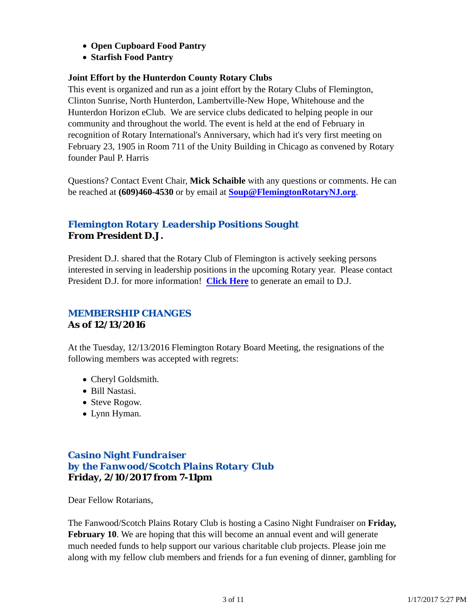- **Open Cupboard Food Pantry**
- **Starfish Food Pantry**

## **Joint Effort by the Hunterdon County Rotary Clubs**

This event is organized and run as a joint effort by the Rotary Clubs of Flemington, Clinton Sunrise, North Hunterdon, Lambertville-New Hope, Whitehouse and the Hunterdon Horizon eClub. We are service clubs dedicated to helping people in our community and throughout the world. The event is held at the end of February in recognition of Rotary International's Anniversary, which had it's very first meeting on February 23, 1905 in Room 711 of the Unity Building in Chicago as convened by Rotary founder Paul P. Harris

Questions? Contact Event Chair, **Mick Schaible** with any questions or comments. He can be reached at **(609)460-4530** or by email at **Soup@FlemingtonRotaryNJ.org**.

# *Flemington Rotary Leadership Positions Sought* **From President D.J.**

President D.J. shared that the Rotary Club of Flemington is actively seeking persons interested in serving in leadership positions in the upcoming Rotary year. Please contact President D.J. for more information! **Click Here** to generate an email to D.J.

# *MEMBERSHIP CHANGES* **As of 12/13/2016**

At the Tuesday, 12/13/2016 Flemington Rotary Board Meeting, the resignations of the following members was accepted with regrets:

- Cheryl Goldsmith.
- Bill Nastasi.
- Steve Rogow.
- Lynn Hyman.

# *Casino Night Fundraiser by the Fanwood/Scotch Plains Rotary Club* **Friday, 2/10/2017 from 7-11pm**

Dear Fellow Rotarians,

The Fanwood/Scotch Plains Rotary Club is hosting a Casino Night Fundraiser on **Friday, February 10**. We are hoping that this will become an annual event and will generate much needed funds to help support our various charitable club projects. Please join me along with my fellow club members and friends for a fun evening of dinner, gambling for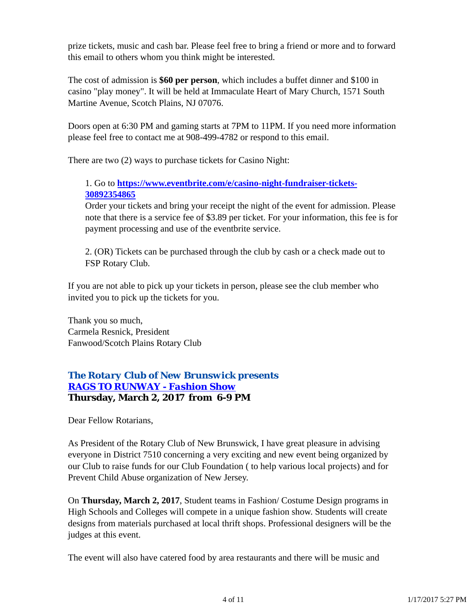prize tickets, music and cash bar. Please feel free to bring a friend or more and to forward this email to others whom you think might be interested.

The cost of admission is **\$60 per person**, which includes a buffet dinner and \$100 in casino "play money". It will be held at Immaculate Heart of Mary Church, 1571 South Martine Avenue, Scotch Plains, NJ 07076.

Doors open at 6:30 PM and gaming starts at 7PM to 11PM. If you need more information please feel free to contact me at 908-499-4782 or respond to this email.

There are two (2) ways to purchase tickets for Casino Night:

## 1. Go to **https://www.eventbrite.com/e/casino-night-fundraiser-tickets-30892354865**

Order your tickets and bring your receipt the night of the event for admission. Please note that there is a service fee of \$3.89 per ticket. For your information, this fee is for payment processing and use of the eventbrite service.

2. (OR) Tickets can be purchased through the club by cash or a check made out to FSP Rotary Club.

If you are not able to pick up your tickets in person, please see the club member who invited you to pick up the tickets for you.

Thank you so much, Carmela Resnick, President Fanwood/Scotch Plains Rotary Club

# *The Rotary Club of New Brunswick presents RAGS TO RUNWAY - Fashion Show* **Thursday, March 2, 2017 from 6-9 PM**

Dear Fellow Rotarians,

As President of the Rotary Club of New Brunswick, I have great pleasure in advising everyone in District 7510 concerning a very exciting and new event being organized by our Club to raise funds for our Club Foundation ( to help various local projects) and for Prevent Child Abuse organization of New Jersey.

On **Thursday, March 2, 2017**, Student teams in Fashion/ Costume Design programs in High Schools and Colleges will compete in a unique fashion show. Students will create designs from materials purchased at local thrift shops. Professional designers will be the judges at this event.

The event will also have catered food by area restaurants and there will be music and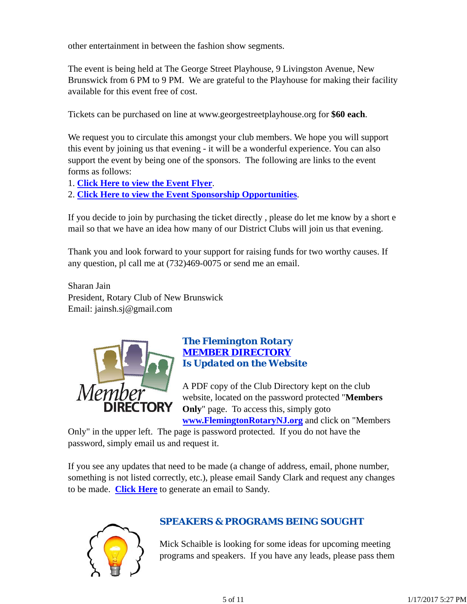other entertainment in between the fashion show segments.

The event is being held at The George Street Playhouse, 9 Livingston Avenue, New Brunswick from 6 PM to 9 PM. We are grateful to the Playhouse for making their facility available for this event free of cost.

Tickets can be purchased on line at www.georgestreetplayhouse.org for **\$60 each**.

We request you to circulate this amongst your club members. We hope you will support this event by joining us that evening - it will be a wonderful experience. You can also support the event by being one of the sponsors. The following are links to the event forms as follows:

- 1. **Click Here to view the Event Flyer**.
- 2. **Click Here to view the Event Sponsorship Opportunities**.

If you decide to join by purchasing the ticket directly , please do let me know by a short e mail so that we have an idea how many of our District Clubs will join us that evening.

Thank you and look forward to your support for raising funds for two worthy causes. If any question, pl call me at (732)469-0075 or send me an email.

Sharan Jain President, Rotary Club of New Brunswick Email: jainsh.sj@gmail.com



## *The Flemington Rotary MEMBER DIRECTORY Is Updated on the Website*

A PDF copy of the Club Directory kept on the club website, located on the password protected "**Members Only**" page. To access this, simply goto **www.FlemingtonRotaryNJ.org** and click on "Members

Only" in the upper left. The page is password protected. If you do not have the password, simply email us and request it.

If you see any updates that need to be made (a change of address, email, phone number, something is not listed correctly, etc.), please email Sandy Clark and request any changes to be made. **Click Here** to generate an email to Sandy.



# *SPEAKERS & PROGRAMS BEING SOUGHT*

Mick Schaible is looking for some ideas for upcoming meeting programs and speakers. If you have any leads, please pass them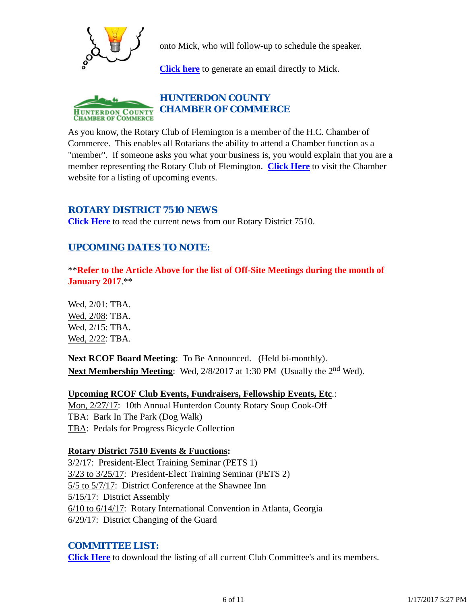

onto Mick, who will follow-up to schedule the speaker.

**Click here** to generate an email directly to Mick.



As you know, the Rotary Club of Flemington is a member of the H.C. Chamber of Commerce. This enables all Rotarians the ability to attend a Chamber function as a "member". If someone asks you what your business is, you would explain that you are a member representing the Rotary Club of Flemington. **Click Here** to visit the Chamber website for a listing of upcoming events.

## *ROTARY DISTRICT 7510 NEWS*

**Click Here** to read the current news from our Rotary District 7510.

# *UPCOMING DATES TO NOTE:*

\*\***Refer to the Article Above for the list of Off-Site Meetings during the month of January 2017**.\*\*

Wed, 2/01: TBA. Wed, 2/08: TBA. Wed, 2/15: TBA. Wed, 2/22: TBA.

**Next RCOF Board Meeting**: To Be Announced. (Held bi-monthly). **Next Membership Meeting:** Wed, 2/8/2017 at 1:30 PM (Usually the 2<sup>nd</sup> Wed).

**Upcoming RCOF Club Events, Fundraisers, Fellowship Events, Etc**.: Mon, 2/27/17: 10th Annual Hunterdon County Rotary Soup Cook-Off TBA: Bark In The Park (Dog Walk) TBA: Pedals for Progress Bicycle Collection

### **Rotary District 7510 Events & Functions:**

3/2/17: President-Elect Training Seminar (PETS 1) 3/23 to 3/25/17: President-Elect Training Seminar (PETS 2) 5/5 to 5/7/17: District Conference at the Shawnee Inn 5/15/17: District Assembly 6/10 to 6/14/17: Rotary International Convention in Atlanta, Georgia 6/29/17: District Changing of the Guard

### *COMMITTEE LIST:*

**Click Here** to download the listing of all current Club Committee's and its members.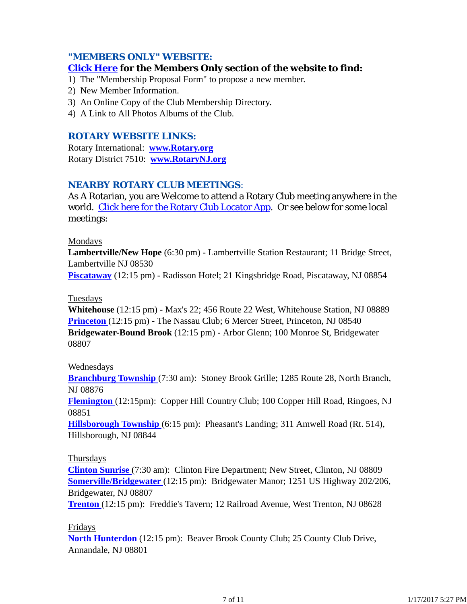### *"MEMBERS ONLY" WEBSITE:*

#### **Click Here for the Members Only section of the website to find:**

- 1) The "Membership Proposal Form" to propose a new member.
- 2) New Member Information.
- 3) An Online Copy of the Club Membership Directory.
- 4) A Link to All Photos Albums of the Club.

#### *ROTARY WEBSITE LINKS:*

Rotary International: **www.Rotary.org** Rotary District 7510: **www.RotaryNJ.org**

#### *NEARBY ROTARY CLUB MEETINGS:*

As A Rotarian, you are Welcome to attend a Rotary Club meeting anywhere in the world. Click here for the Rotary Club Locator App. Or see below for some local meetings:

#### Mondays

**Lambertville/New Hope** (6:30 pm) - Lambertville Station Restaurant; 11 Bridge Street, Lambertville NJ 08530

**Piscataway** (12:15 pm) - Radisson Hotel; 21 Kingsbridge Road, Piscataway, NJ 08854

#### Tuesdays

**Whitehouse** (12:15 pm) - Max's 22; 456 Route 22 West, Whitehouse Station, NJ 08889 **Princeton** (12:15 pm) - The Nassau Club; 6 Mercer Street, Princeton, NJ 08540 **Bridgewater-Bound Brook** (12:15 pm) - Arbor Glenn; 100 Monroe St, Bridgewater 08807

#### Wednesdays

**Branchburg Township** (7:30 am): Stoney Brook Grille; 1285 Route 28, North Branch, NJ 08876

**Flemington** (12:15pm): Copper Hill Country Club; 100 Copper Hill Road, Ringoes, NJ 08851

**Hillsborough Township** (6:15 pm): Pheasant's Landing; 311 Amwell Road (Rt. 514), Hillsborough, NJ 08844

#### Thursdays

**Clinton Sunrise** (7:30 am): Clinton Fire Department; New Street, Clinton, NJ 08809 **Somerville/Bridgewater** (12:15 pm): Bridgewater Manor; 1251 US Highway 202/206, Bridgewater, NJ 08807

**Trenton** (12:15 pm): Freddie's Tavern; 12 Railroad Avenue, West Trenton, NJ 08628

#### Fridays

**North Hunterdon** (12:15 pm): Beaver Brook County Club; 25 County Club Drive, Annandale, NJ 08801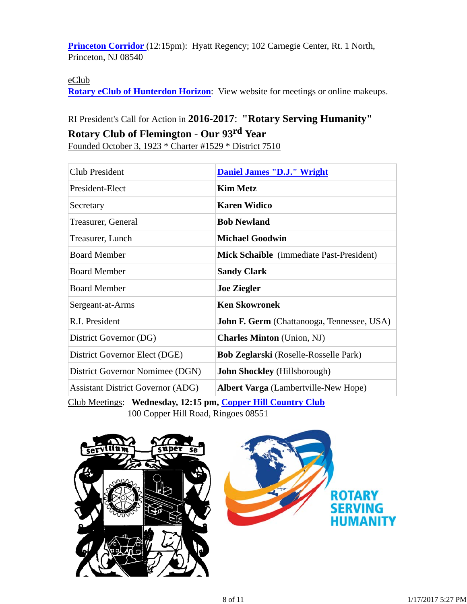**Princeton Corridor** (12:15pm): Hyatt Regency; 102 Carnegie Center, Rt. 1 North, Princeton, NJ 08540

#### eClub

**Rotary eClub of Hunterdon Horizon**: View website for meetings or online makeups.

# RI President's Call for Action in **2016-2017**: **"Rotary Serving Humanity" Rotary Club of Flemington - Our 93rd Year**

Founded October 3, 1923 \* Charter #1529 \* District 7510

| Club President                           | <b>Daniel James "D.J." Wright</b>                 |  |
|------------------------------------------|---------------------------------------------------|--|
| President-Elect                          | <b>Kim Metz</b>                                   |  |
| Secretary                                | <b>Karen Widico</b>                               |  |
| Treasurer, General                       | <b>Bob Newland</b>                                |  |
| Treasurer, Lunch                         | <b>Michael Goodwin</b>                            |  |
| <b>Board Member</b>                      | Mick Schaible (immediate Past-President)          |  |
| <b>Board Member</b>                      | <b>Sandy Clark</b>                                |  |
| <b>Board Member</b>                      | <b>Joe Ziegler</b>                                |  |
| Sergeant-at-Arms                         | <b>Ken Skowronek</b>                              |  |
| R.I. President                           | <b>John F. Germ</b> (Chattanooga, Tennessee, USA) |  |
| District Governor (DG)                   | <b>Charles Minton</b> (Union, NJ)                 |  |
| District Governor Elect (DGE)            | <b>Bob Zeglarski</b> (Roselle-Rosselle Park)      |  |
| District Governor Nomimee (DGN)          | <b>John Shockley</b> (Hillsborough)               |  |
| <b>Assistant District Governor (ADG)</b> | <b>Albert Varga</b> (Lambertville-New Hope)       |  |

Club Meetings: **Wednesday, 12:15 pm, Copper Hill Country Club** 100 Copper Hill Road, Ringoes 08551

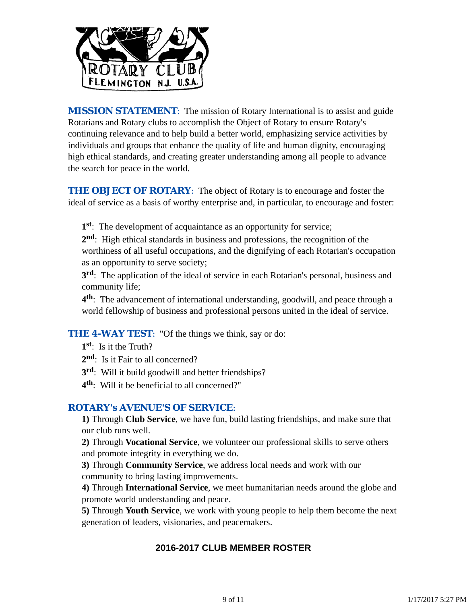

*MISSION STATEMENT*: The mission of Rotary International is to assist and guide Rotarians and Rotary clubs to accomplish the Object of Rotary to ensure Rotary's continuing relevance and to help build a better world, emphasizing service activities by individuals and groups that enhance the quality of life and human dignity, encouraging high ethical standards, and creating greater understanding among all people to advance the search for peace in the world.

**THE OBJECT OF ROTARY:** The object of Rotary is to encourage and foster the ideal of service as a basis of worthy enterprise and, in particular, to encourage and foster:

**1st**: The development of acquaintance as an opportunity for service;

**2nd**: High ethical standards in business and professions, the recognition of the worthiness of all useful occupations, and the dignifying of each Rotarian's occupation as an opportunity to serve society;

**3rd**: The application of the ideal of service in each Rotarian's personal, business and community life;

**4th**: The advancement of international understanding, goodwill, and peace through a world fellowship of business and professional persons united in the ideal of service.

**THE 4-WAY TEST:** "Of the things we think, say or do:

- **1st**: Is it the Truth?
- 2<sup>nd</sup>: Is it Fair to all concerned?
- **3rd**: Will it build goodwill and better friendships?
- **4th**: Will it be beneficial to all concerned?"

### *ROTARY's AVENUE'S OF SERVICE*:

**1)** Through **Club Service**, we have fun, build lasting friendships, and make sure that our club runs well.

**2)** Through **Vocational Service**, we volunteer our professional skills to serve others and promote integrity in everything we do.

**3)** Through **Community Service**, we address local needs and work with our community to bring lasting improvements.

**4)** Through **International Service**, we meet humanitarian needs around the globe and promote world understanding and peace.

**5)** Through **Youth Service**, we work with young people to help them become the next generation of leaders, visionaries, and peacemakers.

## **2016-2017 CLUB MEMBER ROSTER**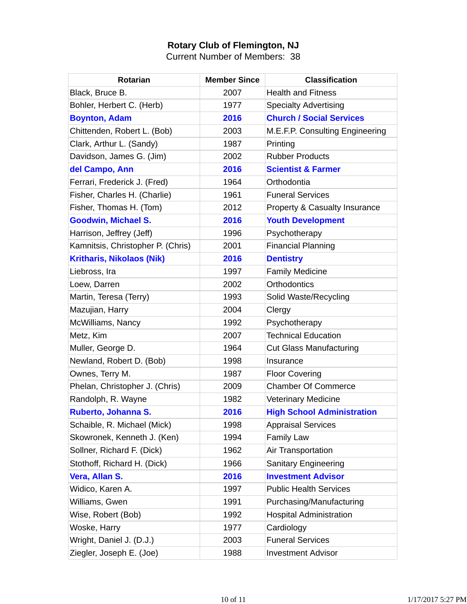## **Rotary Club of Flemington, NJ**

Current Number of Members: 38

| <b>Rotarian</b>                   | <b>Member Since</b> | <b>Classification</b>             |
|-----------------------------------|---------------------|-----------------------------------|
| Black, Bruce B.                   | 2007                | <b>Health and Fitness</b>         |
| Bohler, Herbert C. (Herb)         | 1977                | <b>Specialty Advertising</b>      |
| <b>Boynton, Adam</b>              | 2016                | <b>Church / Social Services</b>   |
| Chittenden, Robert L. (Bob)       | 2003                | M.E.F.P. Consulting Engineering   |
| Clark, Arthur L. (Sandy)          | 1987                | Printing                          |
| Davidson, James G. (Jim)          | 2002                | <b>Rubber Products</b>            |
| del Campo, Ann                    | 2016                | <b>Scientist &amp; Farmer</b>     |
| Ferrari, Frederick J. (Fred)      | 1964                | Orthodontia                       |
| Fisher, Charles H. (Charlie)      | 1961                | <b>Funeral Services</b>           |
| Fisher, Thomas H. (Tom)           | 2012                | Property & Casualty Insurance     |
| <b>Goodwin, Michael S.</b>        | 2016                | <b>Youth Development</b>          |
| Harrison, Jeffrey (Jeff)          | 1996                | Psychotherapy                     |
| Kamnitsis, Christopher P. (Chris) | 2001                | <b>Financial Planning</b>         |
| <b>Kritharis, Nikolaos (Nik)</b>  | 2016                | <b>Dentistry</b>                  |
| Liebross, Ira                     | 1997                | <b>Family Medicine</b>            |
| Loew, Darren                      | 2002                | <b>Orthodontics</b>               |
| Martin, Teresa (Terry)            | 1993                | Solid Waste/Recycling             |
| Mazujian, Harry                   | 2004                | Clergy                            |
| McWilliams, Nancy                 | 1992                | Psychotherapy                     |
| Metz, Kim                         | 2007                | <b>Technical Education</b>        |
| Muller, George D.                 | 1964                | <b>Cut Glass Manufacturing</b>    |
| Newland, Robert D. (Bob)          | 1998                | Insurance                         |
| Ownes, Terry M.                   | 1987                | <b>Floor Covering</b>             |
| Phelan, Christopher J. (Chris)    | 2009                | <b>Chamber Of Commerce</b>        |
| Randolph, R. Wayne                | 1982                | Veterinary Medicine               |
| Ruberto, Johanna S.               | 2016                | <b>High School Administration</b> |
| Schaible, R. Michael (Mick)       | 1998                | <b>Appraisal Services</b>         |
| Skowronek, Kenneth J. (Ken)       | 1994                | <b>Family Law</b>                 |
| Sollner, Richard F. (Dick)        | 1962                | Air Transportation                |
| Stothoff, Richard H. (Dick)       | 1966                | <b>Sanitary Engineering</b>       |
| Vera, Allan S.                    | 2016                | <b>Investment Advisor</b>         |
| Widico, Karen A.                  | 1997                | <b>Public Health Services</b>     |
| Williams, Gwen                    | 1991                | Purchasing/Manufacturing          |
| Wise, Robert (Bob)                | 1992                | <b>Hospital Administration</b>    |
| Woske, Harry                      | 1977                | Cardiology                        |
| Wright, Daniel J. (D.J.)          | 2003                | <b>Funeral Services</b>           |
| Ziegler, Joseph E. (Joe)          | 1988                | <b>Investment Advisor</b>         |